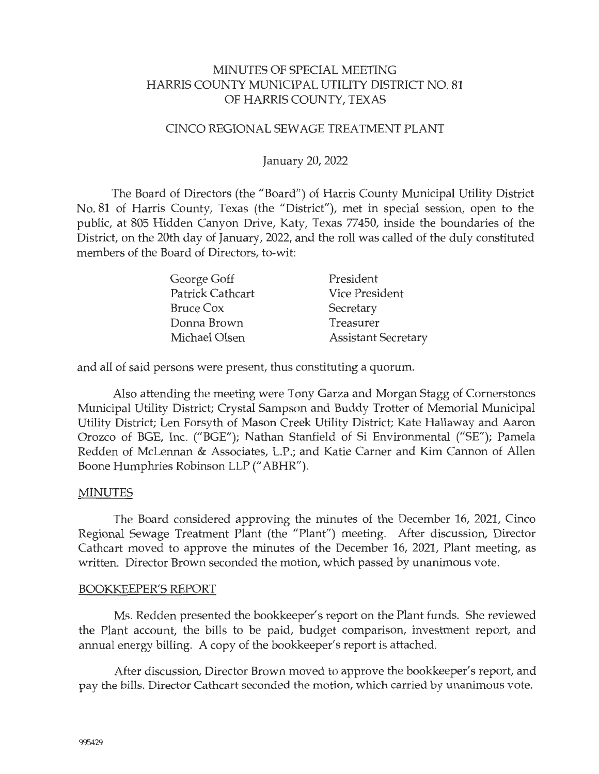### MINUTES OF SPECIAL MEETING HARRIS COUNTY MUNICIPAL UTILITY DISTRICT NO. 81 OF HARRIS COUNTY, TEXAS

### CINCO REGIONAL SEWAGE TREATMENT PLANT

#### January 20, 2022

The Board of Directors (the "Board") of Harris County Municipal Utility District No. 81 of Harris County, Texas (the "District"), met in special session, open to the public, at 805 Hidden Canyon Drive, Katy, Texas 77450, inside the boundaries of the District, on the 20th day of January, 2022, and the roll was called of the duly constituted members of the Board of Directors, to-wit:

| George Goff             | President                  |
|-------------------------|----------------------------|
| <b>Patrick Cathcart</b> | <b>Vice President</b>      |
| <b>Bruce Cox</b>        | Secretary                  |
| Donna Brown             | Treasurer                  |
| Michael Olsen           | <b>Assistant Secretary</b> |

and all of said persons were present, thus constituting a quorum.

Also attending the meeting were Tony Garza and Morgan Stagg of Cornerstones Municipal Utility District; Crystal Sampson and Buddy Trotter of Memorial Municipal Utility District; Len Forsyth of Mason Creek Utility District; Kate Hallaway and Aaron Orozco of BGE, Inc. ("BGE"); Nathan Stanfield of Si Environmental ("SE"); Pamela Redden of McLennan & Associates, L.P.; and Katie Carner and Kim Cannon of Allen Boone Humphries Robinson LLP (" ABHR").

#### MINUTES

The Board considered approving the minutes of the December 16, 2021, Cinco Regional Sewage Treatment Plant (the "Plant") meeting. After discussion, Director Cathcart moved to approve the minutes of the December 16, 2021, Plant meeting, as written. Director Brown seconded the motion, which passed by unanimous vote.

#### BOOKKEEPER'S REPORT

Ms. Redden presented the bookkeeper's report on the Plant funds. She reviewed the Plant account, the bills to be paid, budget comparison, investment report, and annual energy billing. A copy of the bookkeeper's report is attached.

After discussion, Director Brown moved to approve the bookkeeper's report, and pay the bills. Director Cathcart seconded the motion, which carried by unanimous vote.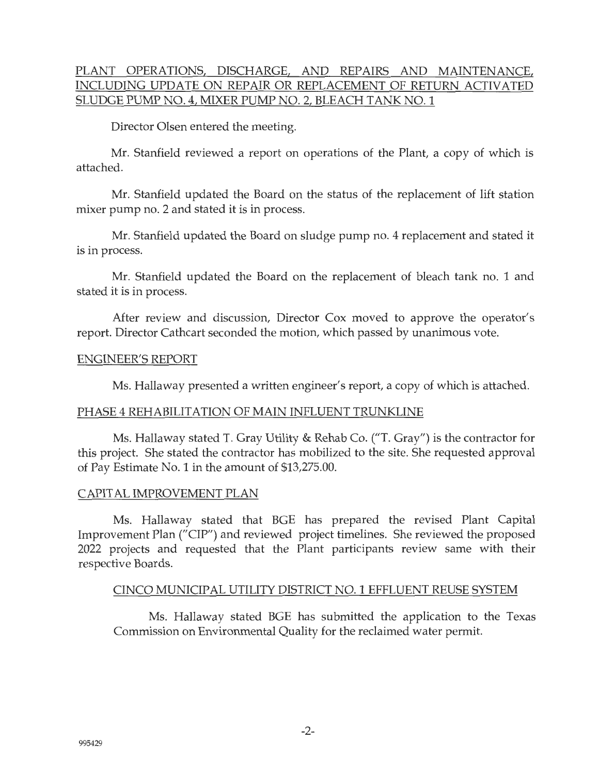## PLANT OPERATIONS, DISCHARGE, AND REPAIRS AND MAINTENANCE, INCLUDING UPDATE ON REPAIR OR REPLACEMENT OF RETURN ACTIVATED SLUDGE PUMP NO. 4, MIXER PUMP NO. 2, BLEACH TANK NO. 1

Director Olsen entered the meeting.

Mr. Stanfield reviewed a report on operations of the Plant, a copy of which is attached.

Mr. Stanfield updated the Board on the status of the replacement of lift station mixer pump no. 2 and stated it is in process.

Mr. Stanfield updated the Board on sludge pump no. 4 replacement and stated it is in process.

Mr. Stanfield updated the Board on the replacement of bleach tank no. 1 and stated it is in process.

After review and discussion, Director Cox moved to approve the operator's report. Director Cathcart seconded the motion, which passed by unanimous vote.

#### ENGINEER'S REPORT

Ms. Hallaway presented a written engineer's report, a copy of which is attached.

### PHASE 4 REHABILITATION OF MAIN INFLUENT TRUNKLINE

Ms. Hallaway stated T. Gray Utility & Rehab Co. ("T. Gray") is the contractor for this project. She stated the contractor has mobilized to the site. She requested approval of Pay Estimate No. 1 in the amount of \$13,275.00.

## CAPITAL IMPROVEMENT PLAN

Ms. Hallaway stated that BGE has prepared the revised Plant Capital Improvement Plan (" CIP") and reviewed project timelines. She reviewed the proposed 2022 projects and requested that the Plant participants review same with their respective Boards.

### CINCO MUNICIPAL UTILITY DISTRICT NO. 1 EFFLUENT REUSE SYSTEM

Ms. Hallaway stated BGE has submitted the application to the Texas Commission on Environmental Quality for the reclaimed water permit.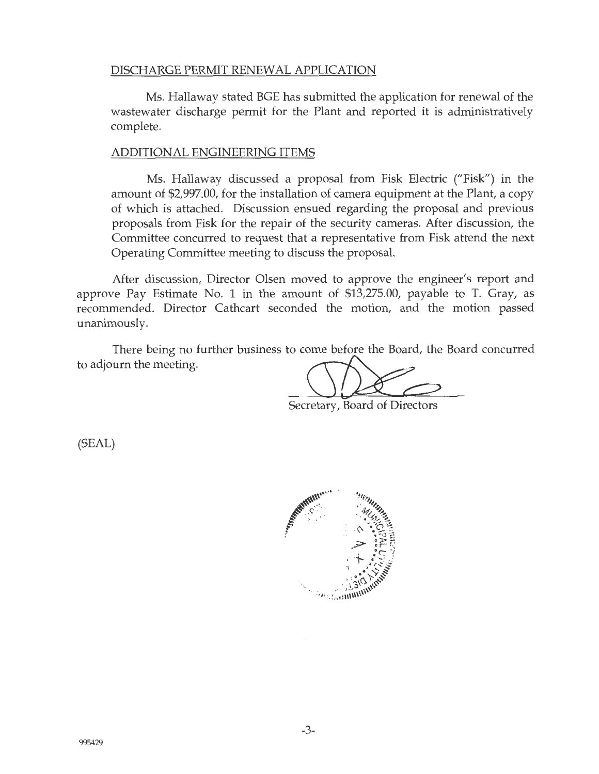### DISCHARGE PERMIT RENEWAL APPLICATION

Ms. Hallaway stated BGE has submitted the application for renewal of the wastewater discharge permit for the Plant and reported it is administratively complete.

### ADDITIONAL ENGINEERING ITEMS

Ms. Hallaway discussed a proposal from Fisk Electric ("Fisk") in the amount of \$2,997.00, for the installation of camera equipment at the Plant, a copy of which is attached. Discussion ensued regarding the proposal and previous proposals from Fisk for the repair of the security cameras. After discussion, the Committee concurred to request that a representative from Fisk attend the next Operating Committee meeting to discuss the proposal.

After discussion, Director Olsen moved to approve the engineer's report and approve Pay Estimate No. 1 in the amount of \$13,275.00, payable to T. Gray, as recommended. Director Cathcart seconded the motion, and the motion passed unanimously.

There being no further business to come before the Board, the Board concurred unanimously.<br>There being no further business to come before the Board, the Board concreto adjourn the meeting.

Secretary, Board of Directors

(SEAL)